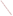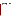# **Consumer Factsheet on: GLYPHOSATE**

#### [List of Contaminants](http://www.epa.gov/safewater/hfacts.html)

 As part of the Drinking Water and Health pages, this fact sheet is part of a larger publication: **National Primary Drinking Water Regulations** 

 States Environmental Protection Agency (EPA). This is a factsheet about a chemical that may be found in some public or private drinking water supplies. It may cause health problems if found in amounts greater than the health standard set by the United

### **What is Glyphosate and how is it used?**

Glyphosate is an organic solid of odorless white crystals. It is a non-selective herbicide used on many food and non-food crops as well as non-crop areas such as roadsides. When applied at lower rates, it serves as a plant growth regulator. The most common uses include control of broadleaf weeds and grasses in: hay/pasture, soybeans, field corn; ornamentals, lawns, turf, forest plantings, greenhouses, rights-of-way.

 The list of trade names given below may help you find out whether you are using this chemical at home or work.

#### **Trade Names and Synonyms:**

Glialka Roundup **Sting** Rodeo Spasor **Muster** Tumbleweed Sonic **Glifonox** Glycel Rondo

# **Why is Glyphosate being Regulated?**

 based solely on possible health risks and exposure, are called Maximum Contaminant Level Goals. In 1974, Congress passed the Safe Drinking Water Act. This law requires EPA to determine safe levels of chemicals in drinking water which do or may cause health problems. These non-enforceable levels,

 The MCLG for glyphosate has been set at 0.7 parts per million (ppm) because EPA believes this level of protection would not cause any of the potential health problems described below.

 Based on this MCLG, EPA has set an enforceable standard called a maximum Contaminant Level (MCL). MCLs are set as close to the MCLGs as possible, considering the ability of public water systems to detect and remove contaminants using suitable treatment technologies.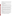it occur in drinking water. The MCL has been set at 0.7 ppm because EPA believes, given present technology and resources, this is the lowest level to which water systems can reasonably be required to remove this contaminant should

These drinking water standards and the regulations for ensuring these standards are met, are called National Primary Drinking Water Regulations. All public water supplies must abide by these regulations.

### **What are the Health Effects?**

Short-term: EPA has found glyphosate to potentially cause the following health effects when people are exposed to it at levels above the MCL for relatively short periods of time: congestion of the lungs; increased breathing rate.

 Long-term: Glyphosate has the potential to cause the following effects from a lifetime exposure at levels above the MCL: kidney damage, reproductive effects.

### **How much Glyphosate is produced and released to the environment?**

 Glyphosate is released to the environment in its use as a herbicide for controlling woody and herbaceous weeds on forestry, right-of-way, cropped and non-cropped sites. These sites may be around water and in wetlands.

 It may also be released to the environment during its manufacture, formulation, transport, storage, disposal and cleanup, and from spills. Glyphosate is among the most widely used pesticides by volume. Usage in 1990 was estimated to be 11,595,000 pounds. It ranked eleventh among conventional pesticides in the US during 1990-91. In recent years, 13 to 20 million acres were treated with 18.7 million lbs. annually.

#### **What happens to Glyphosate when it is released to the environment?**

 soil readily and completely degrade it even under low temperature conditions. It tends to adhere to sediments when released to water. Glyphosate does not tend to accumulate in aquatic life. Glyphosate is strongly adsorbed to soil, with little potential for leaching to ground water. Microbes in the

#### **How will Glyphosate be Detected in and Removed from My Drinking Water?**

 glyphosate is present above 6 parts per billion. If it is present above this level, the system must continue The regulation for glyphosate became effective in 1994. Between 1993 and 1995, EPA required your water supplier to collect water samples every 3 months for one year and analyze them to find out if to monitor this contaminant.

 reduce the amount of glyphosate so that it is consistently below that level. The following treatment If contaminant levels are found to be consistently above the MCL, your water supplier must take steps to methods have been approved by EPA for removing glyphosate: Granular activated charcoal.

# **How will I know if Glyphosate is in my drinking water?**